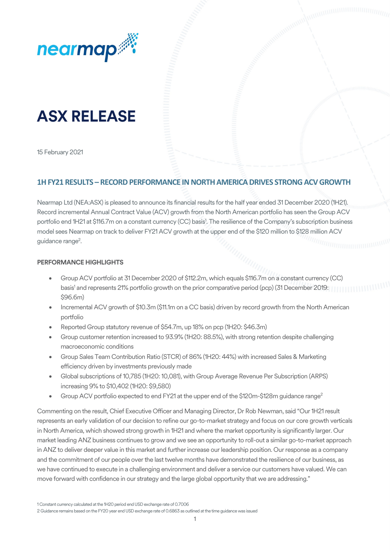

# **ASX RELEASE**

15 February 2021

## **1H FY21 RESULTS – RECORD PERFORMANCE IN NORTH AMERICA DRIVES STRONG ACV GROWTH**

Nearmap Ltd (NEA:ASX) is pleased to announce its financial results for the half year ended 31 December 2020 (1H21). Record incremental Annual Contract Value (ACV) growth from the North American portfolio has seen the Group ACV portfolio end 1H21 at \$116.7m on a constant currency (CC) basis<sup>1</sup>. The resilience of the Company's subscription business model sees Nearmap on track to deliver FY21 ACV growth at the upper end of the \$120 million to \$128 million ACV guidance range<sup>2</sup>.

#### **PERFORMANCE HIGHLIGHTS**

- Group ACV portfolio at 31 December 2020 of \$112.2m, which equals \$116.7m on a constant currency (CC) basis<sup>1</sup> and represents 21% portfolio growth on the prior comparative period (pcp) (31 December 2019: [[[[[[[[[[[ \$96.6m)
- Incremental ACV growth of \$10.3m (\$11.1m on a CC basis) driven by record growth from the North American portfolio
- Reported Group statutory revenue of \$54.7m, up 18% on pcp (1H20: \$46.3m)
- Group customer retention increased to 93.9% (1H20: 88.5%), with strong retention despite challenging macroeconomic conditions
- Group Sales Team Contribution Ratio (STCR) of 86% (1H20: 44%) with increased Sales & Marketing efficiency driven by investments previously made
- Global subscriptions of 10,785 (1H20: 10,081), with Group Average Revenue Per Subscription (ARPS) increasing 9% to \$10,402 (1H20: \$9,580)
- Group ACV portfolio expected to end FY21 at the upper end of the \$120m-\$128m guidance range<sup>2</sup>

Commenting on the result, Chief Executive Officer and Managing Director, Dr Rob Newman, said "Our 1H21 result represents an early validation of our decision to refine our go-to-market strategy and focus on our core growth verticals in North America, which showed strong growth in 1H21 and where the market opportunity is significantly larger. Our market leading ANZ business continues to grow and we see an opportunity to roll-out a similar go-to-market approach in ANZ to deliver deeper value in this market and further increase our leadership position. Our response as a company and the commitment of our people over the last twelve months have demonstrated the resilience of our business, as we have continued to execute in a challenging environment and deliver a service our customers have valued. We can move forward with confidence in our strategy and the large global opportunity that we are addressing."

<sup>1</sup> Constant currency calculated at the 1H20 period end USD exchange rate of 0.7006

<sup>2</sup> Guidance remains based on the FY20 year end USD exchange rate of 0.6863 as outlined at the time guidance was issued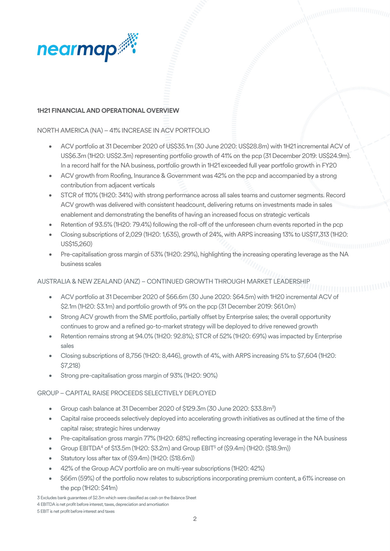

#### **1H21 FINANCIAL AND OPERATIONAL OVERVIEW**

### NORTH AMERICA (NA) – 41% INCREASE IN ACV PORTFOLIO

- ACV portfolio at 31 December 2020 of US\$35.1m (30 June 2020: US\$28.8m) with 1H21incremental ACV of US\$6.3m (1H20: US\$2.3m) representing portfolio growth of 41% on the pcp (31 December 2019: US\$24.9m). In a record half for the NA business, portfolio growth in 1H21 exceeded full year portfolio growth in FY20
- ACV growth from Roofing, Insurance & Government was 42% on the pcp and accompanied by a strong contribution from adjacent verticals
- STCR of 110% (1H20: 34%) with strong performance across all sales teams and customer segments. Record ACV growth was delivered with consistent headcount, delivering returns on investments made in sales enablement and demonstrating the benefits of having an increased focus on strategic verticals
- Retention of 93.5% (1H20: 79.4%) following the roll-off of the unforeseen churn events reported in the pcp
- Closing subscriptions of 2,029 (1H20: 1,635), growth of 24%, with ARPS increasing 13% to US\$17,313 (1H20: US\$15,260)
- Pre-capitalisation gross margin of 53% (1H20: 29%), highlighting the increasing operating leverage as the NA business scales

#### AUSTRALIA & NEW ZEALAND (ANZ) – CONTINUED GROWTH THROUGH MARKET LEADERSHIP

- ACV portfolio at 31 December 2020 of \$66.6m (30 June 2020: \$64.5m) with 1H20 incremental ACV of \$2.1m (1H20: \$3.1m) and portfolio growth of 9% on the pcp (31 December 2019: \$61.0m)
- Strong ACV growth from the SME portfolio, partially offset by Enterprise sales; the overall opportunity continues to grow and a refined go-to-market strategy will be deployed to drive renewed growth
- Retention remains strong at 94.0% (1H20: 92.8%); STCR of 52% (1H20: 69%) was impacted by Enterprise sales
- Closing subscriptions of 8,756 (1H20: 8,446), growth of 4%, with ARPS increasing 5% to \$7,604 (1H20: \$7,218)
- Strong pre-capitalisation gross margin of 93% (1H20: 90%)

#### GROUP – CAPITAL RAISE PROCEEDS SELECTIVELY DEPLOYED

- Group cash balance at 31 December 2020 of \$129.3m (30 June 2020: \$33.8m<sup>3</sup>)
- Capital raise proceeds selectively deployed into accelerating growth initiatives as outlined at the time of the capital raise; strategic hires underway
- Pre-capitalisation gross margin 77% (1H20: 68%) reflecting increasing operating leverage in the NA business
- Group EBITDA4 of \$13.5m (1H20: \$3.2m) and Group EBIT5 of (\$9.4m) (1H20: (\$18.9m))
- Statutory loss after tax of (\$9.4m) (1H2O: (\$18.6m))
- 42% of the Group ACV portfolio are on multi-year subscriptions (1H20: 42%)
- \$66m (59%) of the portfolio now relates to subscriptions incorporating premium content, a 61% increase on the pcp (1H20: \$41m)

3 Excludes bank guarantees of \$2.3m which were classified as cash on the Balance Sheet 4 EBITDA is net profit before interest, taxes, depreciation and amortisation 5 EBIT is net profit before interest and taxes